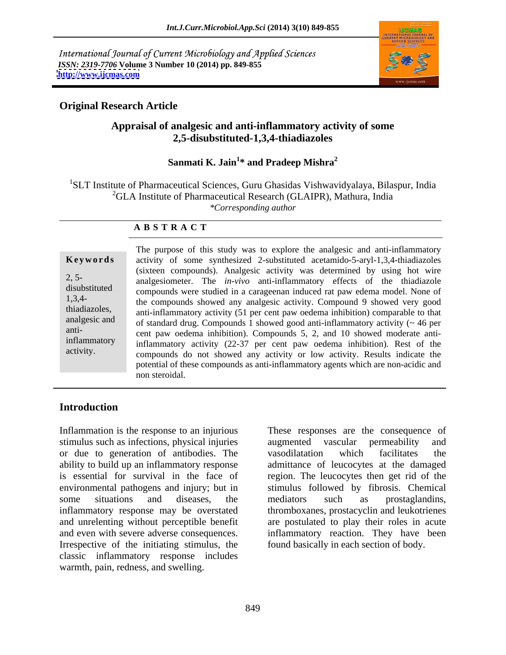International Journal of Current Microbiology and Applied Sciences *ISSN: 2319-7706* **Volume 3 Number 10 (2014) pp. 849-855 <http://www.ijcmas.com>**



# **Original Research Article**

## **Appraisal of analgesic and anti-inflammatory activity of some 2,5-disubstituted-1,3,4-thiadiazoles**

### Sanmati K. Jain<sup>1\*</sup> and Pradeep Mishra<sup>2</sup> **\* and Pradeep Mishra<sup>2</sup>**

1SLT Institute of Pharmaceutical Sciences, Guru Ghasidas Vishwavidyalaya, Bilaspur, India  ${}^{2}$ GLA Institute of Pharmaceutical Research (GLAIPR), Mathura, India *\*Corresponding author* 

### **A B S T R A C T**

anti-

**Keywords** activity of some synthesized 2-substituted acetamido-5-aryl-1,3,4-thiadiazoles 2, 5- analgesiometer. The *in-vivo* anti-inflammatory effects of the thiadiazole disubstituted compounds were studied in a carageenan induced rat paw edema model. None of 1,3,4- the compounds showed any analgesic activity. Compound 9 showed very good thiadiazoles, anti-inflammatory activity (51 per cent paw oedema inhibition) comparable to that analgesic and of standard drug. Compounds 1 showed good anti-inflammatory activity (~ 46 per inflammatory inflammatory activity (22-37 per cent paw oedema inhibition). Rest of the activity. compounds do not showed any activity or low activity. Results indicate the The purpose of this study was to explore the analgesic and anti-inflammatory (sixteen compounds). Analgesic activity was determined by using hot wire cent paw oedema inhibition). Compounds 5, 2, and 10 showed moderate antipotential of these compounds as anti-inflammatory agents which are non-acidic and non steroidal.

## **Introduction**

Inflammation is the response to an injurious These responses are the consequence of stimulus such as infections, physical injuries augmented vascular permeability and or due to generation of antibodies. The ability to build up an inflammatory response admittance of leucocytes at the damaged is essential for survival in the face of region. The leucocytes then get rid of the environmental pathogens and injury; but in some situations and diseases, the mediators such as prostaglandins, inflammatory response may be overstated thromboxanes, prostacyclin and leukotrienes and unrelenting without perceptible benefit are postulated to play their roles in acute and even with severe adverse consequences. inflammatory reaction. They have been Irrespective of the initiating stimulus, the classic inflammatory response includes Inflammation is the response to an injurious These responses are the consequence of stimulus such as infections, physical injuries are suggerented vascular permeability and or due to generation of antibodies. The vasodilat

augmented vascular permeability and vasodilatation which facilitates the stimulus followed by fibrosis. Chemical mediators such as prostaglandins, found basically in each section of body.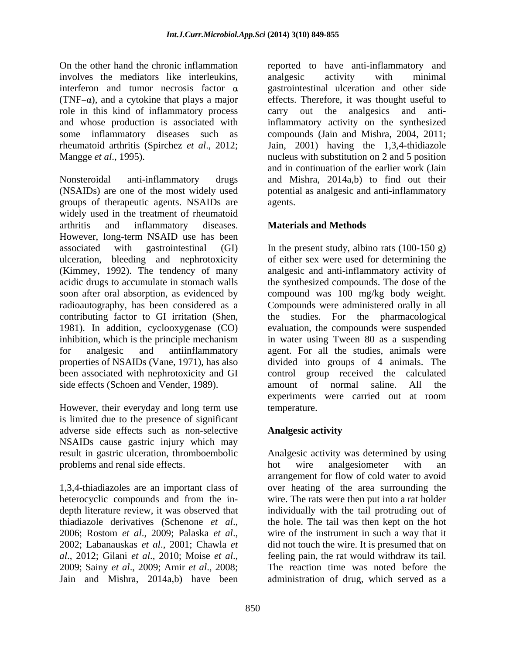involves the mediators like interleukins, role in this kind of inflammatory process carry out the analgesics and anti-

Nonsteroidal anti-inflammatory drugs and Mishra, 2014a,b) to find out their (NSAIDs) are one of the most widely used potential as analgesic and anti-inflammatory groups of therapeutic agents. NSAIDs are widely used in the treatment of rheumatoid arthritis and inflammatory diseases. **Materials and Methods** However, long-term NSAID use has been associated with gastrointestinal (GI) In the present study, albino rats (100-150 g) ulceration, bleeding and nephrotoxicity of either sex were used for determining the (Kimmey, 1992). The tendency of many acidic drugs to accumulate in stomach walls the synthesized compounds. The dose of the soon after oral absorption, as evidenced by compound was 100 mg/kg body weight. radioautography, has been considered as a Compounds were administered orally in all contributing factor to GI irritation (Shen, the studies. For the pharmacological 1981). In addition, cyclooxygenase (CO) evaluation, the compounds were suspended inhibition, which is the principle mechanism in water using Tween 80 as a suspending for analgesic and antiinflammatory agent. For all the studies, animals were properties of NSAIDs (Vane, 1971), has also divided into groups of 4 animals. The been associated with nephrotoxicity and GI absorber control group received the calculated side effects (Schoen and Vender, 1989). amount of normal saline. All the

However, their everyday and long term use temperature. is limited due to the presence of significant adverse side effects such as non-selective NSAIDs cause gastric injury which may problems and renal side effects. The both wire analgesiometer with an

Jain and Mishra, 2014a,b) have been administration of drug, which served as a

On the other hand the chronic inflammation reported to have anti-inflammatory and interferon and tumor necrosis factor  $\alpha$  gastrointestinal ulceration and other side  $(TNF-\alpha)$ , and a cytokine that plays a major effects. Therefore, it was thought useful to and whose production is associated with inflammatory activity on the synthesized some inflammatory diseases such as compounds (Jain and Mishra, 2004, 2011; rheumatoid arthritis (Spirchez *et al*., 2012; Jain, 2001) having the 1,3,4-thidiazole Mangge *et al*., 1995). nucleus with substitution on 2 and 5 position analgesic activity with minimal carry out the analgesics and antiand in continuation of the earlier work (Jain agents.

## **Materials and Methods**

analgesic and anti-inflammatory activity of amount of normal saline. All the experiments were carried out at room temperature.

## **Analgesic activity**

result in gastric ulceration, thromboembolic Analgesic activity was determined by using 1,3,4-thiadiazoles are an important class of over heating of the area surrounding the heterocyclic compounds and from the in- wire. The rats were then put into a rat holder depth literature review, it was observed that individually with the tail protruding out of thiadiazole derivatives (Schenone *et al*., the hole. The tail was then kept on the hot 2006; Rostom *et al*., 2009; Palaska *et al*., wire of the instrument in such a way that it 2002; Labanauskas *et al*., 2001; Chawla *et*  did not touch the wire. It is presumed that on *al*., 2012; Gilani *et al*., 2010; Moise *et al*., feeling pain, the rat would withdraw its tail. 2009; Sainy *et al*., 2009; Amir *et al*., 2008; The reaction time was noted before the hot wire analgesiometer with an arrangement for flow of cold water to avoid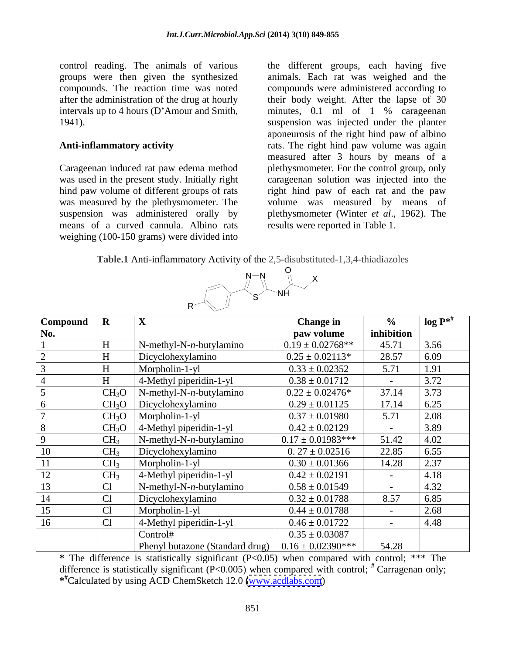control reading. The animals of various the different groups, each having five intervals up to 4 hours (D'Amour and Smith, minutes, 0.1 ml of 1 % carageenan

means of a curved cannula. Albino rats weighing (100-150 grams) were divided into

groups were then given the synthesized animals. Each rat was weighed and the compounds. The reaction time was noted compounds were administered according to after the administration of the drug at hourly their body weight. After the lapse of 30 1941). suspension was injected under the planter **Anti-inflammatory activity** rats. The right hind paw volume was again Carageenan induced rat paw edema method plethysmometer. For the control group, only was used in the present study. Initially right carageenan solution was injected into the hind paw volume of different groups of rats right hind paw of each rat and the paw was measured by the plethysmometer. The volume was measured by means of suspension was administered orally by plethysmometer (Winter *et al*., 1962). The minutes, 0.1 ml of 1 % carageenan aponeurosis of the right hind paw of albino measured after 3 hours by means of a results were reported in Table 1.

**Table.1** Anti-inflammatory Activity of the 2,5-disubstituted-1,3,4-thiadiazoles



| $Compound \mid R$ |                   |                                               | <b>Change in</b>       |                   | $log P^{*^{\#}}$ |
|-------------------|-------------------|-----------------------------------------------|------------------------|-------------------|------------------|
| No.               |                   |                                               | paw volume             | inhibition        |                  |
|                   |                   | $N$ -methyl-N-n-butylamino                    | $0.19 \pm 0.02768$ **  | 45.71             | 3.56             |
|                   |                   | Dicyclohexylamino                             | $0.25 \pm 0.02113*$    | 28.57             | 6.09             |
|                   |                   | Morpholin-1-yl                                | $0.33 \pm 0.02352$     | 5.71              | 1.91             |
|                   |                   | 4-Methyl piperidin-1-yl                       | $0.38 \pm 0.01712$     |                   | 3.72             |
|                   | CH <sub>3</sub> O | $\sum_{n=1}^{\infty}$ N-methyl-N-n-butylamino | $0.22 \pm 0.02476^*$   | 37.14             | 3.73             |
|                   |                   | $CH_3O$ Dicyclohexylamino                     | $0.29 \pm 0.01125$     | 17.14             | 6.25             |
|                   | CH <sub>3</sub> O | Morpholin-1-yl                                | $0.37 \pm 0.01980$     | 5.71              | 2.08             |
|                   | CH <sub>3</sub> O | 4-Methyl piperidin-1-yl                       | $0.42 \pm 0.02129$     |                   | 3.89             |
|                   | CH <sub>3</sub>   | $N$ -methyl-N-n-butylamino                    | $0.17 \pm 0.01983$ *** | 51.42             | 4.02             |
| 10                | CH <sub>3</sub>   | Dicyclohexylamino                             | $0.27 \pm 0.02516$     | 22.85             | 6.55             |
|                   | CH <sub>3</sub>   | Morpholin-1-yl                                | $0.30 \pm 0.01366$     | 14.28             | 2.37             |
| 12                | CH <sub>3</sub>   | 4-Methyl piperidin-1-yl                       | $0.42 \pm 0.02191$     |                   | 4.18             |
| 13                |                   | $N$ -methyl-N-n-butylamino                    | $0.58 \pm 0.01549$     | $\sim$ $\sim$     | 4.32             |
| 14                | Cl                | Dicyclohexylamino                             | $0.32 \pm 0.01788$     | 8.57              | 6.85             |
| 15                | Cl                | Morpholin-1-yl                                | $0.44 \pm 0.01788$     |                   | 2.68             |
| 16                | C <sub>1</sub>    | 4-Methyl piperidin-1-yl                       | $0.46 \pm 0.01722$     | $\sim$ 100 $\sim$ | 4.48             |
|                   |                   | Control#                                      | $0.35 \pm 0.03087$     |                   |                  |
|                   |                   | Phenyl butazone (Standard drug)               | $0.16 \pm 0.02390$ *** | 54.28             |                  |

**\*** The difference is statistically significant (P<0.05) when compared with control; \*\*\* The difference is statistically significant (P<0.005) when compared with control;  $*$  Carragenan only; **#** Carragenan only; **\* #**Calculated by using ACD ChemSketch 12.0 [\(www.acdlabs.com](http://www.acdlabs.com))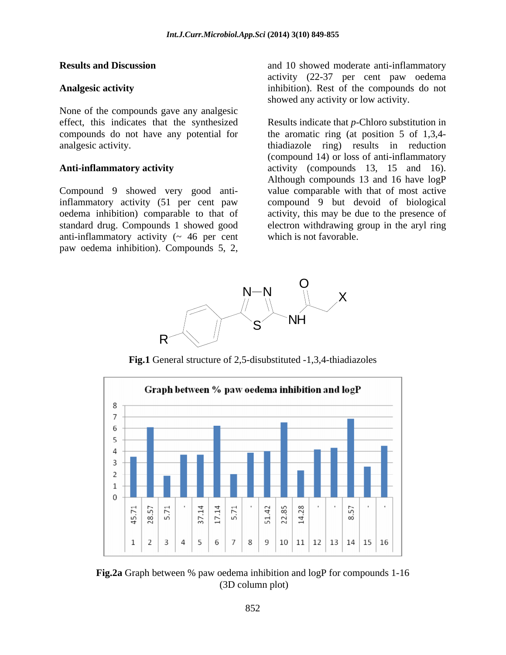None of the compounds gave any analgesic compounds do not have any potential for

Compound 9 showed very good antiinflammatory activity (51 per cent paw anti-inflammatory activity  $($   $\sim$  46 per cent

**Results and Discussion and 10 showed moderate anti-inflammatory** Analgesic activity **inhibition**). Rest of the compounds do not activity (22-37 per cent paw oedema showed any activity or low activity.

effect, this indicates that the synthesized Results indicate that *p*-Chloro substitution in analgesic activity. thiadiazole ring) results in reduction Anti-inflammatory activity **activity** activity (compounds 13, 15 and 16). oedema inhibition) comparable to that of activity, this may be due to the presence of standard drug. Compounds 1 showed good electron withdrawing group in the aryl ring **Results and Discussion** and 10 showed moderate anti-inflammatory<br> **Analgesic activity** (22-37 per cent paw oedema<br>
inhibition). Rest of the compounds do not<br>
showed any activity or low activity.<br>
Effect, this indicates t the aromatic ring (at position 5 of 1,3,4- (compound 14) or loss of anti-inflammatory Although compounds 13 and 16 have logP value comparable with that of most active compound 9 but devoid of biological which is not favorable.



**Fig.1** General structure of 2,5-disubstituted -1,3,4-thiadiazoles



**Fig.2a** Graph between % paw oedema inhibition and logP for compounds 1-16 (3D column plot)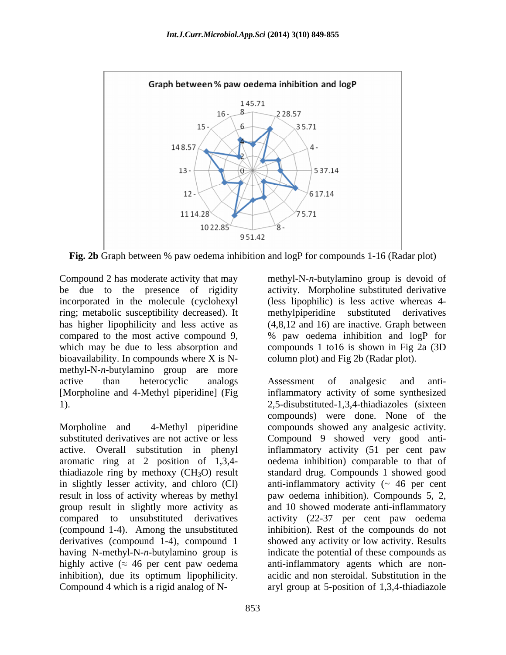

**Fig. 2b** Graph between % paw oedema inhibition and logP for compounds 1-16 (Radar plot)

Compound 2 has moderate activity that may methyl-N-n-butylamino group is devoid of bioavailability. In compounds where X is N methyl-N-*n-*butylamino group are more [Morpholine and 4-Methyl piperidine] (Fig

result in loss of activity whereas by methyl group result in slightly more activity as<br>compared to unsubstituted derivatives inhibition), due its optimum lipophilicity.

be due to the presence of rigidity activity. Morpholine substituted derivative incorporated in the molecule (cyclohexyl (less lipophilic) is less active whereas 4 ring; metabolic susceptibility decreased). It methylpiperidine substituted derivatives has higher lipophilicity and less active as (4,8,12 and 16) are inactive. Graph between compared to the most active compound 9, % paw oedema inhibition and logP for which may be due to less absorption and compounds 1 to16 is shown in Fig 2a (3D column plot) and Fig 2b (Radar plot).

active than heterocyclic analogs Assessment of analgesic and anti-1). 2,5-disubstituted-1,3,4-thiadiazoles (sixteen Morpholine and 4-Methyl piperidine compounds showed any analgesic activity. substituted derivatives are not active or less Compound 9 showed very good antiactive. Overall substitution in phenyl inflammatory activity (51 per cent paw aromatic ring at 2 position of 1,3,4- oedema inhibition) comparable to that of thiadiazole ring by methoxy (CH<sub>3</sub>O) result standard drug. Compounds 1 showed good in slightly lesser activity, and chloro (Cl) anti-inflammatory activity (~ 46 per cent compared to unsubstituted derivatives activity (22-37 per cent paw oedema (compound 1-4). Among the unsubstituted inhibition). Rest of the compounds do not derivatives (compound 1-4), compound 1 showed any activity or low activity. Results having N-methyl-N-*n-*butylamino group is indicate the potential of these compounds as highly active  $($   $\approx$  46 per cent paw oedema anti-inflammatory agents which are non-Compound 2 has moderal exitivity that may<br>
elempthe the condomical correlation of the presence of rigidity<br>
incorporated in the molecule (cyclohexyl<br>
incorporated in the molecule (cyclohexyl<br>
incorporation is less active s Assessment of analgesic and antiinflammatory activity of some synthesized compounds) were done. None of the paw oedema inhibition). Compounds 5, 2, and 10 showed moderate anti-inflammatory acidic and non steroidal. Substitution in the aryl group at 5-position of 1,3,4-thiadiazole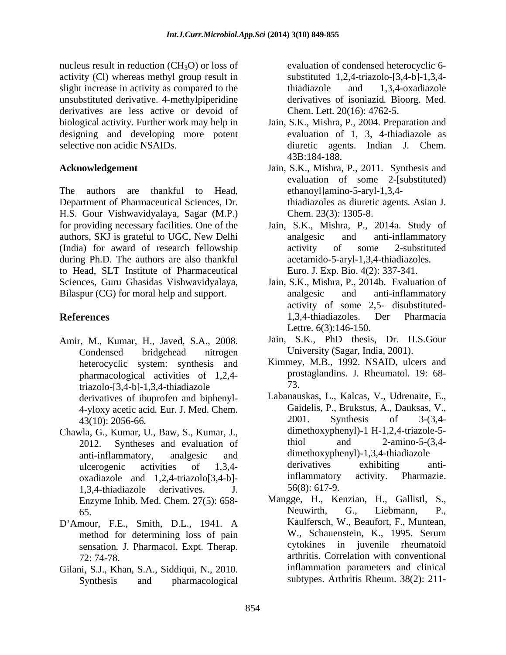nucleus result in reduction  $(CH<sub>3</sub>O)$  or loss of activity (Cl) whereas methyl group result in slight increase in activity as compared to the thiadiazole and 1,3,4-oxadiazole unsubstituted derivative. 4-methylpiperidine derivatives are less active or devoid of biological activity. Further work may help in Jain, S.K., Mishra, P., 2004. Preparation and designing and developing more potent

The authors are thankful to Head, ethanoyl]amino-5-aryl-1,3,4- Department of Pharmaceutical Sciences, Dr. H.S. Gour Vishwavidyalaya, Sagar (M.P.) for providing necessary facilities. One of the Jain, S.K., Mishra, P., 2014a. Study of authors, SKJ is grateful to UGC, New Delhi (India) for award of research fellowship during Ph.D. The authors are also thankful to Head, SLT Institute of Pharmaceutical Sciences, Guru Ghasidas Vishwavidyalaya, Jain, S.K., Mishra, P., 2014b. Evaluation of Bilaspur (CG) for moral help and support. analgesic and anti-inflammatory

- Amir, M., Kumar, H., Javed, S.A., 2008. Jain, S.K., PhD thesis, Dr. H.S.Gour<br>Condensed bridgehead nitrogen University (Sagar, India, 2001). pharmacological activities of 1,2,4  $triazolo$ -[3,4-b]-1,3,4-thiadiazole  $73$ . derivatives of ibuprofen and biphenyl- 43(10): 2056-66*.*
- Chawla, G., Kumar, U., Baw, S., Kumar, J.,<br>2012 Syntheses and evaluation of thiol and 2-amino-5-(3.4-2012. Syntheses and evaluation of 1,3,4-thiadiazole derivatives. J.  $56(8): 617-9$ .
- D'Amour, F.E., Smith, D.L., 1941. A<br>method for determining loss of pain W., Schauenstein, K., 1995. Serum sensation*.* J. Pharmacol. Expt. Therap.
- Gilani, S.J., Khan, S.A., Siddiqui, N., 2010. Inflammation parameters and clinical<br>Synthesis and pharmacological subtypes. Arthritis Rheum. 38(2): 211-

evaluation of condensed heterocyclic 6 substituted 1,2,4-triazolo-[3,4-b]-1,3,4 thiadiazole and 1,3,4-oxadiazole derivatives of isoniazid*.* Bioorg. Med. Chem. Lett. 20(16): 4762-5.

- selective non acidic NSAIDs. diuretic agents. Indian J. Chem. evaluation of 1, 3, 4-thiadiazole as 43B:184-188.
- **Acknowledgement** Jain, S.K., Mishra, P., 2011. Synthesis and evaluation of some 2-[substituted) thiadiazoles as diuretic agents*.* Asian J. Chem. 23(3): 1305-8.
	- analgesic and anti-inflammatory activity of some 2-substituted acetamido-5-aryl-1,3,4-thiadiazoles*.* Euro. J. Exp. Bio. 4(2): 337-341.
- **References** 1,3,4-thiadiazoles. Der Pharmacia analgesic and anti-inflammatory activity of some 2,5- disubstituted- 1,3,4-thiadiazoles. Der Pharmacia Lettre. 6(3):146-150.
	- Jain, S.K., PhD thesis, Dr. H.S.Gour University (Sagar, India, 2001).
	- heterocyclic system: synthesis and Kimmey, M.B., 1992. NSAID, ulcers and prostaglandins. J. Rheumatol*.* 19: 68- 73.
	- 4-yloxy acetic acid. Eur. J. Med. Chem. Gaidelis, P., Brukstus, A., Dauksas, V., 43(10): 2056-66<br>43(10): 2001. Synthesis of 3-(3,4anti-inflammatory, analgesic and dimethoxyphenyl)-1,3,4-thiadiazole ulcerogenic activities of 1,3,4 oxadiazole and 1,2,4-triazolo[3,4-b]-<br>
	1.3.4-thiadiazole derivatives I 56(8): 617-9. Labanauskas, L., Kalcas, V., Udrenaite, E., Gaidelis, P., Brukstus, A., Dauksas, V., 2001. Synthesis of 3-(3,4 dimethoxyphenyl)-1 H-1,2,4-triazole-5 thiol and  $2\text{-amino-5-(3,4-}$ derivatives exhibiting antiinflammatory activity. Pharmazie. 56(8): 617-9.
	- Enzyme Inhib. Med. Chem. 27(5): 658-<br>
	Mangge, H., Kenzian, H., Gallistl, S.,<br>
	Neuwirth, G., Liebmann, P., 65. Neuwirth, G., Liebmann, P., method for determining loss of pain W., Schauenstein, K., 1995. Serum<br>sensation I Pharmacol Expt Therap cytokines in juvenile rheumatoid 72: 74-78. arthritis. Correlation with conventional Mangge, H., Kenzian, H., Gallistl, Neuwirth, G., Liebmann, P., Kaulfersch, W., Beaufort, F., Muntean, W., Schauenstein, K., 1995. Serum cytokines in juvenile rheumatoid inflammation parameters and clinical subtypes. Arthritis Rheum. 38(2): 211-